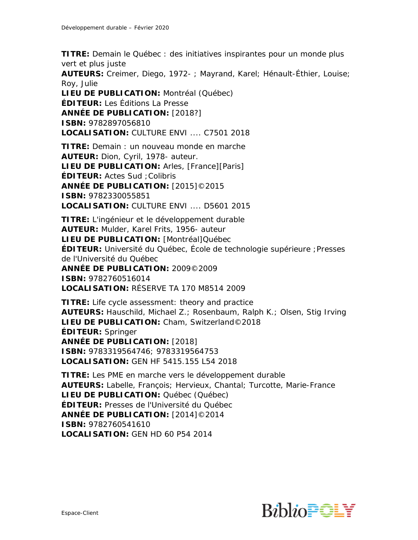**TITRE:** Demain le Québec : des initiatives inspirantes pour un monde plus vert et plus juste

**AUTEURS:** Creimer, Diego, 1972- ; Mayrand, Karel; Hénault-Éthier, Louise; Roy, Julie

**LIEU DE PUBLICATION:** Montréal (Québec) **ÉDITEUR:** Les Éditions La Presse **ANNÉE DE PUBLICATION:** [2018?] **ISBN:** 9782897056810 **LOCALISATION:** CULTURE ENVI .... C7501 2018

**TITRE:** Demain : un nouveau monde en marche **AUTEUR:** Dion, Cyril, 1978- auteur. **LIEU DE PUBLICATION:** Arles, [France][Paris] **ÉDITEUR:** Actes Sud ;Colibris **ANNÉE DE PUBLICATION:** [2015]©2015 **ISBN:** 9782330055851 **LOCALISATION:** CULTURE ENVI .... D5601 2015

**TITRE:** L'ingénieur et le développement durable **AUTEUR:** Mulder, Karel Frits, 1956- auteur **LIEU DE PUBLICATION:** [Montréal]Québec **ÉDITEUR:** Université du Québec, École de technologie supérieure ;Presses de l'Université du Québec **ANNÉE DE PUBLICATION:** 2009©2009 **ISBN:** 9782760516014 **LOCALISATION:** RÉSERVE TA 170 M8514 2009

**TITRE:** Life cycle assessment: theory and practice **AUTEURS:** Hauschild, Michael Z.; Rosenbaum, Ralph K.; Olsen, Stig Irving **LIEU DE PUBLICATION:** Cham, Switzerland©2018 **ÉDITEUR:** Springer **ANNÉE DE PUBLICATION:** [2018] **ISBN:** 9783319564746; 9783319564753 **LOCALISATION:** GEN HF 5415.155 L54 2018

**TITRE:** Les PME en marche vers le développement durable **AUTEURS:** Labelle, François; Hervieux, Chantal; Turcotte, Marie-France **LIEU DE PUBLICATION: Québec (Québec) ÉDITEUR:** Presses de l'Université du Québec **ANNÉE DE PUBLICATION:** [2014]©2014 **ISBN:** 9782760541610 **LOCALISATION:** GEN HD 60 P54 2014

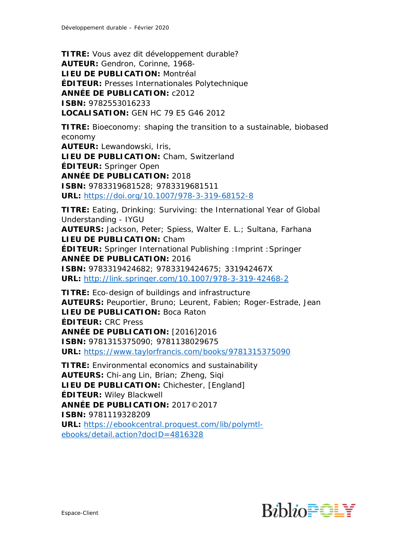**TITRE:** Vous avez dit développement durable? **AUTEUR:** Gendron, Corinne, 1968- **LIEU DE PUBLICATION:** Montréal **ÉDITEUR:** Presses Internationales Polytechnique **ANNÉE DE PUBLICATION:** c2012 **ISBN:** 9782553016233 **LOCALISATION:** GEN HC 79 E5 G46 2012

**TITRE:** Bioeconomy: shaping the transition to a sustainable, biobased economy **AUTEUR:** Lewandowski, Iris, **LIEU DE PUBLICATION:** Cham, Switzerland **ÉDITEUR:** Springer Open **ANNÉE DE PUBLICATION:** 2018 **ISBN:** 9783319681528; 9783319681511 **URL:** <https://doi.org/10.1007/978-3-319-68152-8>

**TITRE:** Eating, Drinking: Surviving: the International Year of Global Understanding - IYGU **AUTEURS:** Jackson, Peter; Spiess, Walter E. L.; Sultana, Farhana **LIEU DE PUBLICATION:** Cham **ÉDITEUR:** Springer International Publishing :Imprint :Springer **ANNÉE DE PUBLICATION:** 2016 **ISBN:** 9783319424682; 9783319424675; 331942467X **URL:** <http://link.springer.com/10.1007/978-3-319-42468-2>

**TITRE:** Eco-design of buildings and infrastructure **AUTEURS:** Peuportier, Bruno; Leurent, Fabien; Roger-Estrade, Jean **LIEU DE PUBLICATION:** Boca Raton **ÉDITEUR:** CRC Press **ANNÉE DE PUBLICATION:** [2016]2016 **ISBN:** 9781315375090; 9781138029675 **URL:** <https://www.taylorfrancis.com/books/9781315375090>

**TITRE:** Environmental economics and sustainability **AUTEURS:** Chi-ang Lin, Brian; Zheng, Siqi **LIEU DE PUBLICATION:** Chichester, [England] **ÉDITEUR:** Wiley Blackwell **ANNÉE DE PUBLICATION:** 2017©2017 **ISBN:** 9781119328209 **URL:** [https://ebookcentral.proquest.com/lib/polymtl](https://ebookcentral.proquest.com/lib/polymtl-ebooks/detail.action?docID=4816328)[ebooks/detail.action?docID=4816328](https://ebookcentral.proquest.com/lib/polymtl-ebooks/detail.action?docID=4816328)

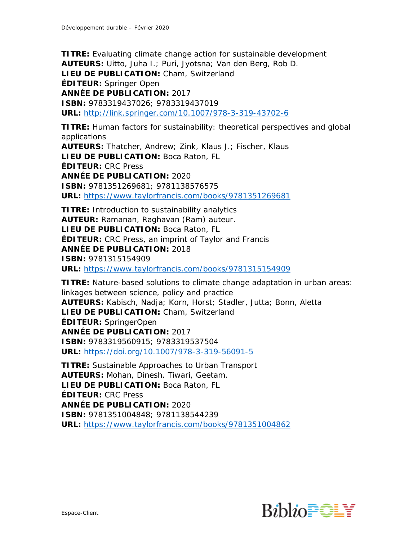**TITRE:** Evaluating climate change action for sustainable development **AUTEURS:** Uitto, Juha I.; Puri, Jyotsna; Van den Berg, Rob D. **LIEU DE PUBLICATION:** Cham, Switzerland **ÉDITEUR:** Springer Open **ANNÉE DE PUBLICATION:** 2017 **ISBN:** 9783319437026; 9783319437019 **URL:** <http://link.springer.com/10.1007/978-3-319-43702-6>

**TITRE:** Human factors for sustainability: theoretical perspectives and global applications **AUTEURS:** Thatcher, Andrew; Zink, Klaus J.; Fischer, Klaus **LIEU DE PUBLICATION:** Boca Raton, FL **ÉDITEUR:** CRC Press **ANNÉE DE PUBLICATION:** 2020 **ISBN:** 9781351269681; 9781138576575 **URL:** <https://www.taylorfrancis.com/books/9781351269681>

**TITRE:** Introduction to sustainability analytics **AUTEUR:** Ramanan, Raghavan (Ram) auteur. **LIEU DE PUBLICATION:** Boca Raton, FL **ÉDITEUR:** CRC Press, an imprint of Taylor and Francis **ANNÉE DE PUBLICATION:** 2018 **ISBN:** 9781315154909 **URL:** <https://www.taylorfrancis.com/books/9781315154909>

**TITRE:** Nature-based solutions to climate change adaptation in urban areas: linkages between science, policy and practice **AUTEURS:** Kabisch, Nadja; Korn, Horst; Stadler, Jutta; Bonn, Aletta **LIEU DE PUBLICATION:** Cham, Switzerland **ÉDITEUR:** SpringerOpen **ANNÉE DE PUBLICATION:** 2017 **ISBN:** 9783319560915; 9783319537504 **URL:** <https://doi.org/10.1007/978-3-319-56091-5> **TITRE:** Sustainable Approaches to Urban Transport

**AUTEURS:** Mohan, Dinesh. Tiwari, Geetam. **LIEU DE PUBLICATION:** Boca Raton, FL **ÉDITEUR:** CRC Press **ANNÉE DE PUBLICATION:** 2020 **ISBN:** 9781351004848; 9781138544239 **URL:** <https://www.taylorfrancis.com/books/9781351004862>